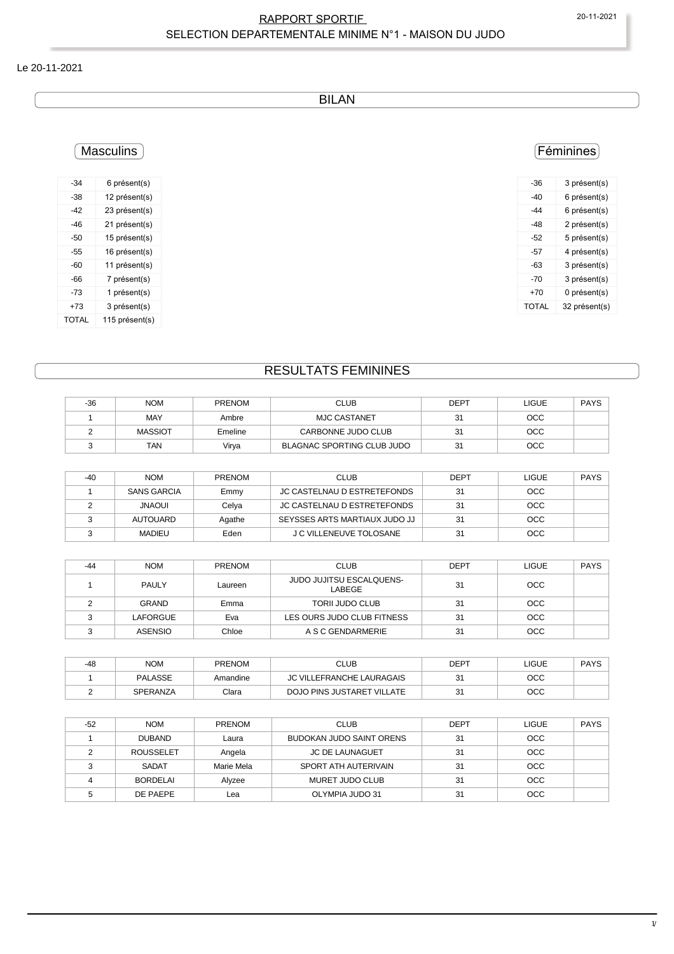### RAPPORT SPORTIF 20-11-2021 SELECTION DEPARTEMENTALE MINIME N°1 - MAISON DU JUDO

#### Le 20-11-2021

BILAN

# **Masculins**

| -34   | 6 présent(s)   |
|-------|----------------|
| -38   | 12 présent(s)  |
| -42   | 23 présent(s)  |
| -46   | 21 présent(s)  |
| -50   | 15 présent(s)  |
| -55   | 16 présent(s)  |
| -60   | 11 présent(s)  |
| -66   | 7 présent(s)   |
| -73   | 1 présent(s)   |
| +73   | 3 présent(s)   |
| TOTAL | 115 présent(s) |

### Féminines

| -36   | 3 présent(s)  |
|-------|---------------|
| -40   | 6 présent(s)  |
| $-44$ | 6 présent(s)  |
| $-48$ | 2 présent(s)  |
| -52   | 5 présent(s)  |
| -57   | 4 présent(s)  |
| -63   | 3 présent(s)  |
| -70   | 3 présent(s)  |
| +70   | 0 présent(s)  |
| TOTAL | 32 présent(s) |
|       |               |

# RESULTATS FEMININES

| $-36$ | <b>NOM</b>     | <b>PRENOM</b> | <b>CLUB</b>                | DEPT | LIGUE      | <b>PAYS</b> |
|-------|----------------|---------------|----------------------------|------|------------|-------------|
|       | MAY            | Ambre         | <b>MJC CASTANET</b>        | 31   | <b>OCC</b> |             |
|       | <b>MASSIOT</b> | Emeline       | CARBONNE JUDO CLUB         | 31   | <b>OCC</b> |             |
|       | TAN            | Virva         | BLAGNAC SPORTING CLUB JUDO | 31   | <b>OCC</b> |             |

| -40 | <b>NOM</b>         | <b>PRENOM</b> | <b>CLUB</b>                   | <b>DEPT</b> | LIGUE      | <b>PAYS</b> |
|-----|--------------------|---------------|-------------------------------|-------------|------------|-------------|
|     | <b>SANS GARCIA</b> | Emmy          | JC CASTELNAU D ESTRETEFONDS   | 31          | <b>OCC</b> |             |
|     | <b>IUOANL</b>      | Celya         | JC CASTELNAU D ESTRETEFONDS   | 31          | <b>OCC</b> |             |
|     | AUTOUARD           | Agathe        | SEYSSES ARTS MARTIAUX JUDO JJ | 31          | <b>OCC</b> |             |
|     | <b>MADIEU</b>      | Eden          | J C VILLENEUVE TOLOSANE       | 31          | <b>OCC</b> |             |

| -44 | <b>NOM</b>     | <b>PRENOM</b> | <b>CLUB</b>                        | <b>DEPT</b> | <b>LIGUE</b> | <b>PAYS</b> |
|-----|----------------|---------------|------------------------------------|-------------|--------------|-------------|
|     | <b>PAULY</b>   | Laureen       | JUDO JUJITSU ESCALQUENS-<br>LABEGE | 31          | <b>OCC</b>   |             |
|     | <b>GRAND</b>   | Emma          | <b>TORII JUDO CLUB</b>             | 31          | <b>OCC</b>   |             |
|     | LAFORGUE       | Eva           | LES OURS JUDO CLUB FITNESS         | 31          | <b>OCC</b>   |             |
|     | <b>ASENSIO</b> | Chloe         | A S C GENDARMERIE                  | 31          | <b>OCC</b>   |             |

| $-48$ | <b>NOM</b> | <b>PRENOM</b> | CLUB                             | DEPT | LIGUE | <b>PAYS</b> |
|-------|------------|---------------|----------------------------------|------|-------|-------------|
|       | PALASSE    | Amandine      | <b>JC VILLEFRANCHE LAURAGAIS</b> | 31   | осс   |             |
|       | SPERANZA   | Clara         | DOJO PINS JUSTARET VILLATE       | ا ت  | осс   |             |

| $-52$ | <b>NOM</b>       | <b>PRENOM</b> | <b>CLUB</b>              | <b>DEPT</b> | <b>LIGUE</b> | <b>PAYS</b> |
|-------|------------------|---------------|--------------------------|-------------|--------------|-------------|
|       | <b>DUBAND</b>    | Laura         | BUDOKAN JUDO SAINT ORENS | 31          | <b>OCC</b>   |             |
|       | <b>ROUSSELET</b> | Angela        | <b>JC DE LAUNAGUET</b>   | 31          | <b>OCC</b>   |             |
|       | <b>SADAT</b>     | Marie Mela    | SPORT ATH AUTERIVAIN     | 31          | <b>OCC</b>   |             |
|       | <b>BORDELAI</b>  | Alyzee        | MURET JUDO CLUB          | 31          | <b>OCC</b>   |             |
|       | DE PAEPE         | Lea           | OLYMPIA JUDO 31          | 31          | <b>OCC</b>   |             |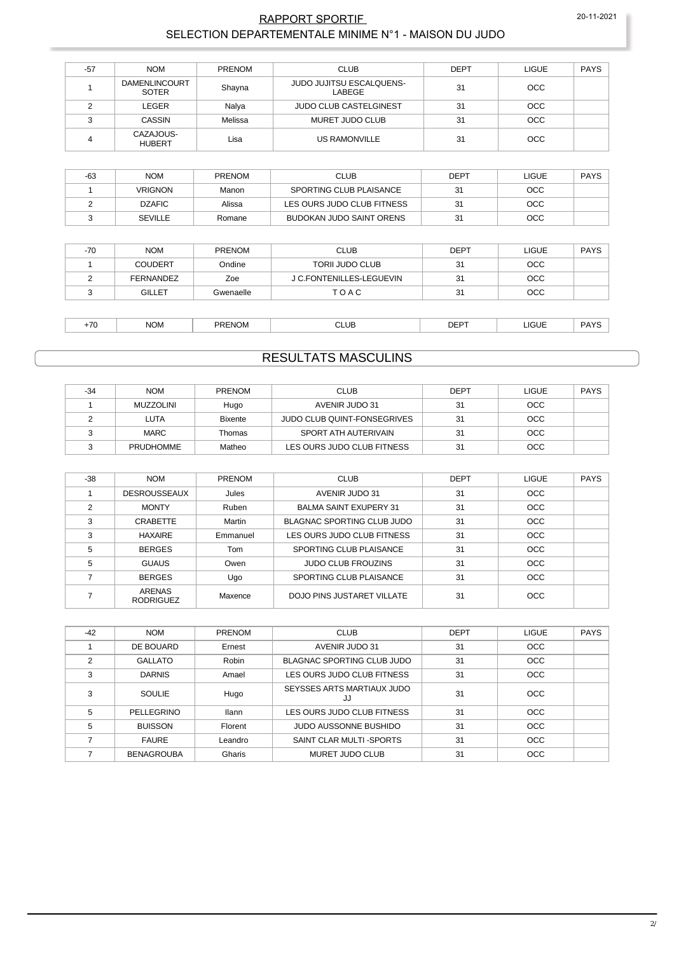#### RAPPORT SPORTIF 20-11-2021 SELECTION DEPARTEMENTALE MINIME N°1 - MAISON DU JUDO

| $-57$ | <b>NOM</b>                           | PRENOM  | <b>CLUB</b>                               | DEPT | <b>LIGUE</b> | <b>PAYS</b> |
|-------|--------------------------------------|---------|-------------------------------------------|------|--------------|-------------|
|       | <b>DAMENLINCOURT</b><br><b>SOTER</b> | Shayna  | <b>JUDO JUJITSU ESCALQUENS-</b><br>LABEGE | 31   | <b>OCC</b>   |             |
|       | LEGER                                | Nalya   | <b>JUDO CLUB CASTELGINEST</b>             | 31   | <b>OCC</b>   |             |
|       | <b>CASSIN</b>                        | Melissa | MURET JUDO CLUB                           | 31   | <b>OCC</b>   |             |
|       | CAZAJOUS-<br><b>HUBERT</b>           | Lisa    | US RAMONVILLE                             | 31   | <b>OCC</b>   |             |

| $-63$ | <b>NOM</b>     | <b>PRENOM</b> | <b>CLUB</b>                | <b>DEPT</b> | LIGUE      | <b>PAYS</b> |
|-------|----------------|---------------|----------------------------|-------------|------------|-------------|
|       | <b>VRIGNON</b> | Manon         | SPORTING CLUB PLAISANCE    | 31          | <b>OCC</b> |             |
|       | <b>DZAFIC</b>  | Alissa        | LES OURS JUDO CLUB FITNESS | 31          | <b>OCC</b> |             |
|       | <b>SEVILLE</b> | Romane        | BUDOKAN JUDO SAINT ORENS   | 31          | <b>OCC</b> |             |

| $-70$ | <b>NOM</b>     | <b>PRENOM</b> | <b>CLUB</b>              | <b>DEPT</b> | LIGUE      | <b>PAYS</b> |
|-------|----------------|---------------|--------------------------|-------------|------------|-------------|
|       | <b>COUDERT</b> | Ondine        | <b>TORII JUDO CLUB</b>   | 31          | <b>OCC</b> |             |
|       | FERNANDEZ      | Zoe           | J C.FONTENILLES-LEGUEVIN | 31          | <b>OCC</b> |             |
|       | <b>GILLET</b>  | Gwenaelle     | TOAC                     | 31          | <b>OCC</b> |             |

| DAVC<br><b>NOM</b><br><b></b><br>----<br><b>IGUE</b><br>CLUB<br>$\overline{\phantom{0}}$<br>PRENC<br>:Nom<br>ັບ∟<br>$ -$ |
|--------------------------------------------------------------------------------------------------------------------------|
|--------------------------------------------------------------------------------------------------------------------------|

### RESULTATS MASCULINS

| $-34$ | <b>NOM</b>       | <b>PRENOM</b> | CLUB                               | <b>DEPT</b> | <b>LIGUE</b> | <b>PAYS</b> |
|-------|------------------|---------------|------------------------------------|-------------|--------------|-------------|
|       | MUZZOLINI        | Hugo          | AVENIR JUDO 31                     | 31          | <b>OCC</b>   |             |
|       | LUTA             | Bixente       | <b>JUDO CLUB QUINT-FONSEGRIVES</b> | 31          | <b>OCC</b>   |             |
|       | <b>MARC</b>      | Thomas        | SPORT ATH AUTERIVAIN               | 31          | <b>OCC</b>   |             |
|       | <b>PRUDHOMME</b> | Matheo        | LES OURS JUDO CLUB FITNESS         | 31          | <b>OCC</b>   |             |

| $-38$ | <b>NOM</b>                        | <b>PRENOM</b> | <b>CLUB</b>                   | <b>DEPT</b> | LIGUE      | <b>PAYS</b> |
|-------|-----------------------------------|---------------|-------------------------------|-------------|------------|-------------|
|       | <b>DESROUSSEAUX</b>               | Jules         | AVENIR JUDO 31                | 31          | <b>OCC</b> |             |
| 2     | <b>MONTY</b>                      | Ruben         | <b>BALMA SAINT EXUPERY 31</b> | 31          | <b>OCC</b> |             |
| 3     | CRABETTE                          | Martin        | BLAGNAC SPORTING CLUB JUDO    | 31          | OCC        |             |
| 3     | <b>HAXAIRE</b>                    | Emmanuel      | LES OURS JUDO CLUB FITNESS    | 31          | <b>OCC</b> |             |
| 5     | <b>BERGES</b>                     | Tom           | SPORTING CLUB PLAISANCE       | 31          | <b>OCC</b> |             |
| 5     | <b>GUAUS</b>                      | Owen          | <b>JUDO CLUB FROUZINS</b>     | 31          | <b>OCC</b> |             |
|       | <b>BERGES</b>                     | Ugo           | SPORTING CLUB PLAISANCE       | 31          | <b>OCC</b> |             |
|       | <b>ARENAS</b><br><b>RODRIGUEZ</b> | Maxence       | DOJO PINS JUSTARET VILLATE    | 31          | OCC        |             |

| $-42$         | <b>NOM</b>        | <b>PRENOM</b> | <b>CLUB</b>                      | <b>DEPT</b> | <b>LIGUE</b> | <b>PAYS</b> |
|---------------|-------------------|---------------|----------------------------------|-------------|--------------|-------------|
|               | DE BOUARD         | Ernest        | AVENIR JUDO 31                   | 31          | <b>OCC</b>   |             |
| $\mathcal{P}$ | <b>GALLATO</b>    | Robin         | BLAGNAC SPORTING CLUB JUDO       | 31          | <b>OCC</b>   |             |
| 3             | <b>DARNIS</b>     | Amael         | LES OURS JUDO CLUB FITNESS       | 31          | <b>OCC</b>   |             |
| 3             | SOULIE            | Hugo          | SEYSSES ARTS MARTIAUX JUDO<br>JJ | 31          | OCC          |             |
| 5             | PELLEGRINO        | <b>Ilann</b>  | LES OURS JUDO CLUB FITNESS       | 31          | <b>OCC</b>   |             |
| 5             | <b>BUISSON</b>    | Florent       | JUDO AUSSONNE BUSHIDO            | 31          | <b>OCC</b>   |             |
|               | <b>FAURE</b>      | Leandro       | SAINT CLAR MULTI-SPORTS          | 31          | <b>OCC</b>   |             |
|               | <b>BENAGROUBA</b> | Gharis        | MURET JUDO CLUB                  | 31          | <b>OCC</b>   |             |